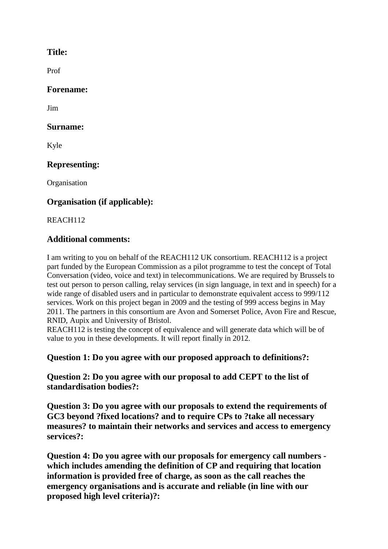# **Title:**

Prof

## **Forename:**

Jim

## **Surname:**

Kyle

# **Representing:**

**Organisation** 

# **Organisation (if applicable):**

REACH112

# **Additional comments :**

I am writing to you on behalf of the REACH112 UK consortium. REACH112 is a project part funded by the European Commission as a pilot programme to test the concept of Total Conversation (video, voice and text) in telecommunications. We are required by Brussels to test out person to person calling, relay services (in sign language, in text and in speech) for a wide range of disabled users and in particular to demonstrate equivalent access to 999/112 services. Work on this project began in 2009 and the testing of 999 access begins in May 2011. The partners in this consortium are Avon and Somerset Police, Avon Fire and Rescue, RNID, Aupix and University of Bristol.

REACH112 is testing the concept of equivalence and will generate data which will be of value to you in these developments. It will report finally in 2012.

# **Question 1: Do you agree with our proposed approach to definitions?:**

**Question 2: Do you agree with our proposal to add CEPT to the list of standardisation bodies?:**

**Question 3: Do you agree with our proposals to extend the requirements of GC3 beyond ?fixed locations? and to require CPs to ?take all necessary measures? to maintain their networks and services and access to emergency services?:**

**Question 4: Do you agree with our proposals for emergency call numbers which includes amending the definition of CP and requiring that location information is provided free of charge, as soon as the call reaches the emergency organisations and is accurate and reliable (in line with our proposed high level criteria)?:**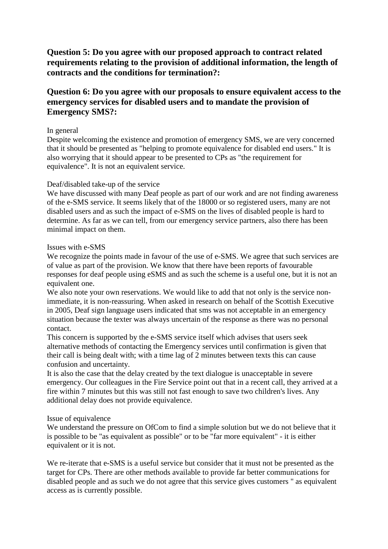**Question 5: Do you agree with our proposed approach to contract related requirements relating to the provision of additional information, the length of contracts and the conditions for termination?:**

## **Question 6: Do you agree with our proposals to ensure equivalent access to the emergency services for disabled users and to mandate the provision of Emergency SMS?:**

### In general

Despite welcoming the existence and promotion of emergency SMS, we are very concerned that it should be presented as "helping to promote equivalence for disabled end users." It is also worrying that it should appear to be presented to CPs as "the requirement for equivalence". It is not an equivalent service.

#### Deaf/disabled take-up of the service

We have discussed with many Deaf people as part of our work and are not finding awareness of the e-SMS service. It seems likely that of the 18000 or so registered users, many are not disabled users and as such the impact of e-SMS on the lives of disabled people is hard to determine. As far as we can tell, from our emergency service partners, also there has been minimal impact on them.

#### Issues with e-SMS

We recognize the points made in favour of the use of e-SMS. We agree that such services are of value as part of the provision. We know that there have been reports of favourable responses for deaf people using eSMS and as such the scheme is a useful one, but it is not an equivalent one.

We also note your own reservations. We would like to add that not only is the service nonimmediate, it is non-reassuring. When asked in research on behalf of the Scottish Executive in 2005, Deaf sign language users indicated that sms was not acceptable in an emergency situation because the texter was always uncertain of the response as there was no personal contact.

This concern is supported by the e-SMS service itself which advises that users seek alternative methods of contacting the Emergency services until confirmation is given that their call is being dealt with; with a time lag of 2 minutes between texts this can cause confusion and uncertainty.

It is also the case that the delay created by the text dialogue is unacceptable in severe emergency. Our colleagues in the Fire Service point out that in a recent call, they arrived at a fire within 7 minutes but this was still not fast enough to save two children's lives. Any additional delay does not provide equivalence.

### Issue of equivalence

We understand the pressure on OfCom to find a simple solution but we do not believe that it is possible to be "as equivalent as possible" or to be "far more equivalent" - it is either equivalent or it is not.

We re-iterate that e-SMS is a useful service but consider that it must not be presented as the target for CPs. There are other methods available to provide far better communications for disabled people and as such we do not agree that this service gives customers " as equivalent access as is currently possible.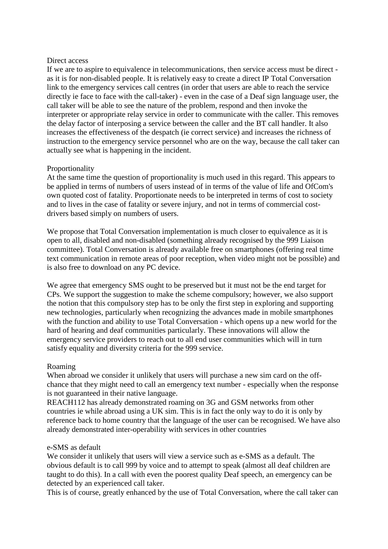#### Direct access

If we are to aspire to equivalence in telecommunications, then service access must be direct as it is for non-disabled people. It is relatively easy to create a direct IP Total Conversation link to the emergency services call centres (in order that users are able to reach the service directly ie face to face with the call-taker) - even in the case of a Deaf sign language user, the call taker will be able to see the nature of the problem, respond and then invoke the interpreter or appropriate relay service in order to communicate with the caller. This removes the delay factor of interposing a service between the caller and the BT call handler. It also increases the effectiveness of the despatch (ie correct service) and increases the richness of instruction to the emergency service personnel who are on the way, because the call taker can actually see what is happening in the incident.

### Proportionality

At the same time the question of proportionality is much used in this regard. This appears to be applied in terms of numbers of users instead of in terms of the value of life and OfCom's own quoted cost of fatality. Proportionate needs to be interpreted in terms of cost to society and to lives in the case of fatality or severe injury, and not in terms of commercial costdrivers based simply on numbers of users.

We propose that Total Conversation implementation is much closer to equivalence as it is open to all, disabled and non-disabled (something already recognised by the 999 Liaison committee). Total Conversation is already available free on smartphones (offering real time text communication in remote areas of poor reception, when video might not be possible) and is also free to download on any PC device.

We agree that emergency SMS ought to be preserved but it must not be the end target for CPs. We support the suggestion to make the scheme compulsory; however, we also support the notion that this compulsory step has to be only the first step in exploring and supporting new technologies, particularly when recognizing the advances made in mobile smartphones with the function and ability to use Total Conversation - which opens up a new world for the hard of hearing and deaf communities particularly. These innovations will allow the emergency service providers to reach out to all end user communities which will in turn satisfy equality and diversity criteria for the 999 service.

### Roaming

When abroad we consider it unlikely that users will purchase a new sim card on the offchance that they might need to call an emergency text number - especially when the response is not guaranteed in their native language.

REACH112 has already demonstrated roaming on 3G and GSM networks from other countries ie while abroad using a UK sim. This is in fact the only way to do it is only by reference back to home country that the language of the user can be recognised. We have also already demonstrated inter-operability with services in other countries

#### e-SMS as default

We consider it unlikely that users will view a service such as e-SMS as a default. The obvious default is to call 999 by voice and to attempt to speak (almost all deaf children are taught to do this). In a call with even the poorest quality Deaf speech, an emergency can be detected by an experienced call taker.

This is of course, greatly enhanced by the use of Total Conversation, where the call taker can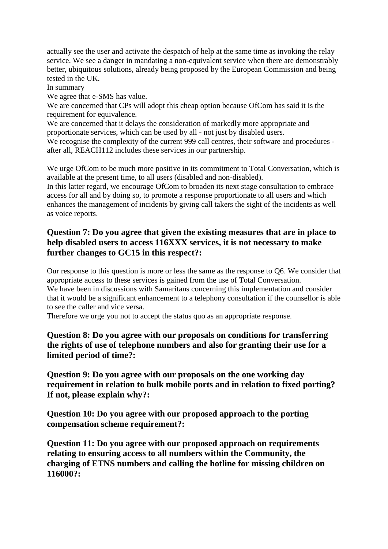actually see the user and activate the despatch of help at the same time as invoking the relay service. We see a danger in mandating a non-equivalent service when there are demonstrably better, ubiquitous solutions, already being proposed by the European Commission and being tested in the UK.

In summary

We agree that e-SMS has value.

We are concerned that CPs will adopt this cheap option because OfCom has said it is the requirement for equivalence.

We are concerned that it delays the consideration of markedly more appropriate and proportionate services, which can be used by all - not just by disabled users.

We recognise the complexity of the current 999 call centres, their software and procedures after all, REACH112 includes these services in our partnership.

We urge OfCom to be much more positive in its commitment to Total Conversation, which is available at the present time, to all users (disabled and non-disabled).

In this latter regard, we encourage OfCom to broaden its next stage consultation to embrace access for all and by doing so, to promote a response proportionate to all users and which enhances the management of incidents by giving call takers the sight of the incidents as well as voice reports.

# **Question 7: Do you agree that given the existing measures that are in place to help disabled users to access 116XXX services, it is not necessary to make further changes to GC15 in this respect?:**

Our response to this question is more or less the same as the response to Q6. We consider that appropriate access to these services is gained from the use of Total Conversation. We have been in discussions with Samaritans concerning this implementation and consider that it would be a significant enhancement to a telephony consultation if the counsellor is able to see the caller and vice versa.

Therefore we urge you not to accept the status quo as an appropriate response.

**Question 8: Do you agree with our proposals on conditions for transferring the rights of use of telephone numbers and also for granting their use for a limited period of time?:**

**Question 9: Do you agree with our proposals on the one working day requirement in relation to bulk mobile ports and in relation to fixed porting? If not, please explain why?:**

**Question 10: Do you agree with our proposed approach to the porting compensation scheme requirement?:**

**Question 11: Do you agree with our proposed approach on requirements relating to ensuring access to all numbers within the Community, the charging of ETNS numbers and calling the hotline for missing children on 116000?:**